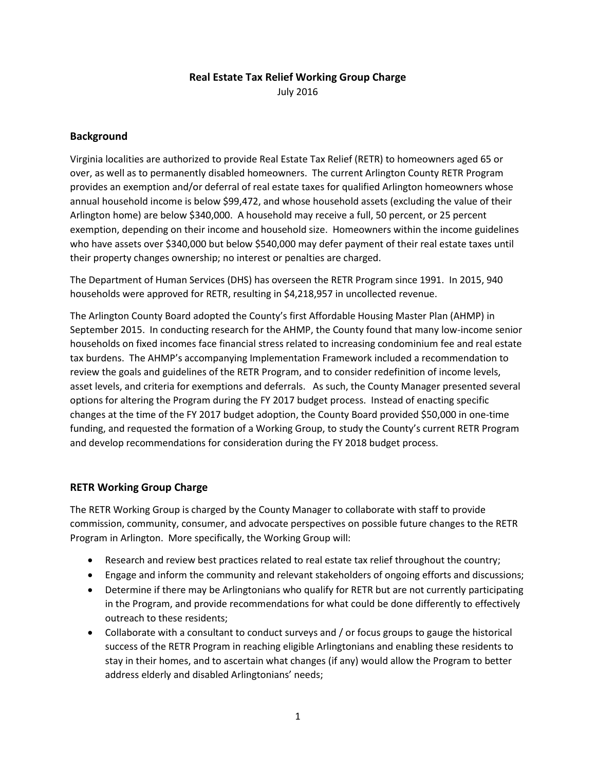# **Real Estate Tax Relief Working Group Charge**

July 2016

## **Background**

Virginia localities are authorized to provide Real Estate Tax Relief (RETR) to homeowners aged 65 or over, as well as to permanently disabled homeowners. The current Arlington County RETR Program provides an exemption and/or deferral of real estate taxes for qualified Arlington homeowners whose annual household income is below \$99,472, and whose household assets (excluding the value of their Arlington home) are below \$340,000. A household may receive a full, 50 percent, or 25 percent exemption, depending on their income and household size. Homeowners within the income guidelines who have assets over \$340,000 but below \$540,000 may defer payment of their real estate taxes until their property changes ownership; no interest or penalties are charged.

The Department of Human Services (DHS) has overseen the RETR Program since 1991. In 2015, 940 households were approved for RETR, resulting in \$4,218,957 in uncollected revenue.

The Arlington County Board adopted the County's first Affordable Housing Master Plan (AHMP) in September 2015. In conducting research for the AHMP, the County found that many low-income senior households on fixed incomes face financial stress related to increasing condominium fee and real estate tax burdens. The AHMP's accompanying Implementation Framework included a recommendation to review the goals and guidelines of the RETR Program, and to consider redefinition of income levels, asset levels, and criteria for exemptions and deferrals. As such, the County Manager presented several options for altering the Program during the FY 2017 budget process. Instead of enacting specific changes at the time of the FY 2017 budget adoption, the County Board provided \$50,000 in one-time funding, and requested the formation of a Working Group, to study the County's current RETR Program and develop recommendations for consideration during the FY 2018 budget process.

## **RETR Working Group Charge**

The RETR Working Group is charged by the County Manager to collaborate with staff to provide commission, community, consumer, and advocate perspectives on possible future changes to the RETR Program in Arlington. More specifically, the Working Group will:

- Research and review best practices related to real estate tax relief throughout the country;
- Engage and inform the community and relevant stakeholders of ongoing efforts and discussions;
- Determine if there may be Arlingtonians who qualify for RETR but are not currently participating in the Program, and provide recommendations for what could be done differently to effectively outreach to these residents;
- Collaborate with a consultant to conduct surveys and / or focus groups to gauge the historical success of the RETR Program in reaching eligible Arlingtonians and enabling these residents to stay in their homes, and to ascertain what changes (if any) would allow the Program to better address elderly and disabled Arlingtonians' needs;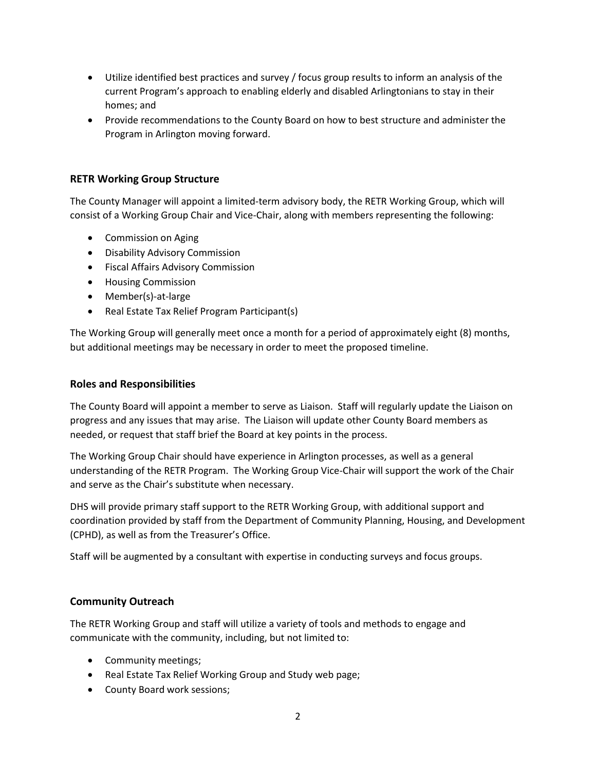- Utilize identified best practices and survey / focus group results to inform an analysis of the current Program's approach to enabling elderly and disabled Arlingtonians to stay in their homes; and
- Provide recommendations to the County Board on how to best structure and administer the Program in Arlington moving forward.

## **RETR Working Group Structure**

The County Manager will appoint a limited-term advisory body, the RETR Working Group, which will consist of a Working Group Chair and Vice-Chair, along with members representing the following:

- Commission on Aging
- Disability Advisory Commission
- Fiscal Affairs Advisory Commission
- Housing Commission
- Member(s)-at-large
- Real Estate Tax Relief Program Participant(s)

The Working Group will generally meet once a month for a period of approximately eight (8) months, but additional meetings may be necessary in order to meet the proposed timeline.

#### **Roles and Responsibilities**

The County Board will appoint a member to serve as Liaison. Staff will regularly update the Liaison on progress and any issues that may arise. The Liaison will update other County Board members as needed, or request that staff brief the Board at key points in the process.

The Working Group Chair should have experience in Arlington processes, as well as a general understanding of the RETR Program. The Working Group Vice-Chair will support the work of the Chair and serve as the Chair's substitute when necessary.

DHS will provide primary staff support to the RETR Working Group, with additional support and coordination provided by staff from the Department of Community Planning, Housing, and Development (CPHD), as well as from the Treasurer's Office.

Staff will be augmented by a consultant with expertise in conducting surveys and focus groups.

## **Community Outreach**

The RETR Working Group and staff will utilize a variety of tools and methods to engage and communicate with the community, including, but not limited to:

- Community meetings;
- Real Estate Tax Relief Working Group and Study web page;
- County Board work sessions;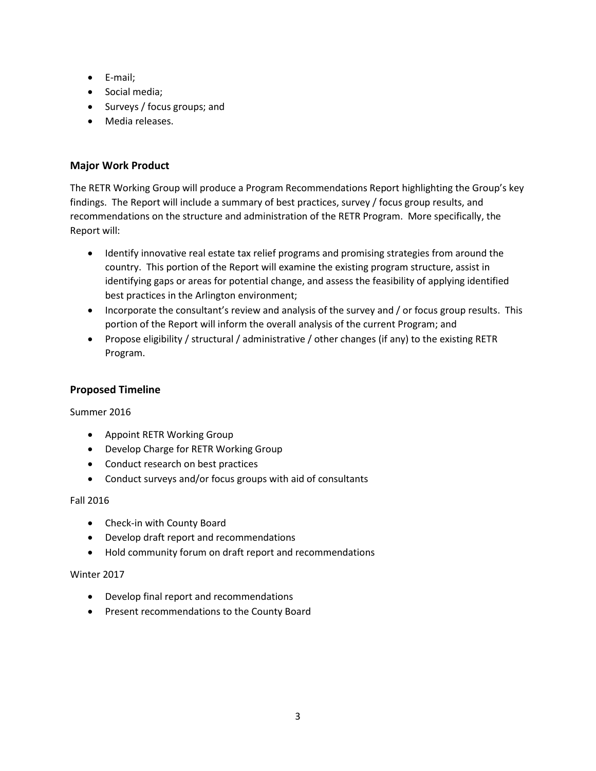- E-mail;
- Social media;
- Surveys / focus groups; and
- Media releases.

## **Major Work Product**

The RETR Working Group will produce a Program Recommendations Report highlighting the Group's key findings. The Report will include a summary of best practices, survey / focus group results, and recommendations on the structure and administration of the RETR Program. More specifically, the Report will:

- Identify innovative real estate tax relief programs and promising strategies from around the country. This portion of the Report will examine the existing program structure, assist in identifying gaps or areas for potential change, and assess the feasibility of applying identified best practices in the Arlington environment;
- Incorporate the consultant's review and analysis of the survey and / or focus group results. This portion of the Report will inform the overall analysis of the current Program; and
- Propose eligibility / structural / administrative / other changes (if any) to the existing RETR Program.

## **Proposed Timeline**

#### Summer 2016

- Appoint RETR Working Group
- Develop Charge for RETR Working Group
- Conduct research on best practices
- Conduct surveys and/or focus groups with aid of consultants

#### Fall 2016

- Check-in with County Board
- Develop draft report and recommendations
- Hold community forum on draft report and recommendations

#### Winter 2017

- Develop final report and recommendations
- Present recommendations to the County Board